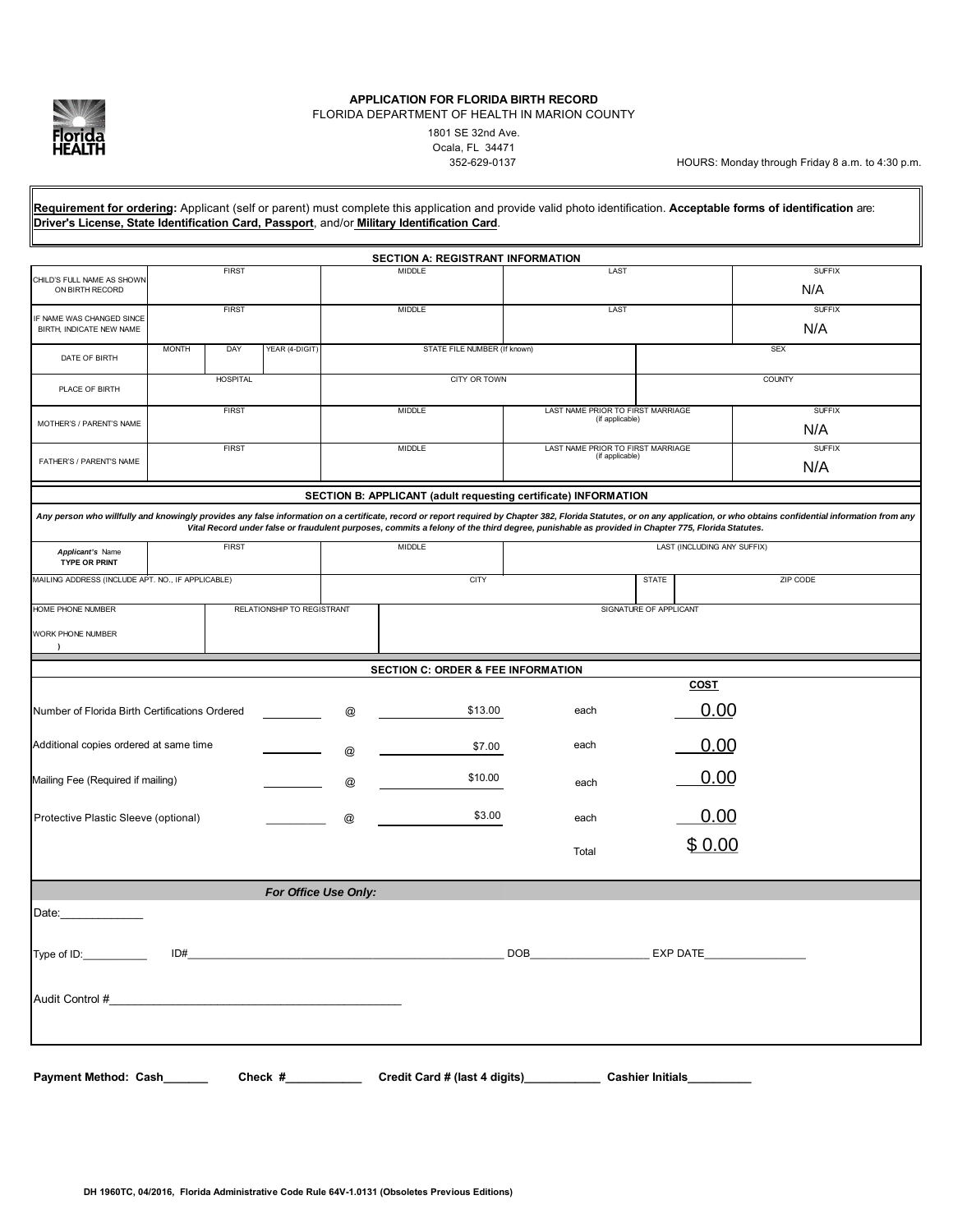

# **APPLICATION FOR FLORIDA BIRTH RECORD**

FLORIDA DEPARTMENT OF HEALTH IN MARION COUNTY

1801 SE 32nd Ave. Ocala, FL 34471

HOURS: Monday through Friday 8 a.m. to 4:30 p.m.

**Requirement for ordering:** Applicant (self or parent) must complete this application and provide valid photo identification. **Acceptable forms of identification** are: **Driver's License, State Identification Card, Passport**, and/or **Military Identification Card**.

|                                                       |                 |     |                      |                 | <b>SECTION A: REGISTRANT INFORMATION</b>                              |                                                                                                                                                 |                         |                                                                                                                                                                                                                             |
|-------------------------------------------------------|-----------------|-----|----------------------|-----------------|-----------------------------------------------------------------------|-------------------------------------------------------------------------------------------------------------------------------------------------|-------------------------|-----------------------------------------------------------------------------------------------------------------------------------------------------------------------------------------------------------------------------|
| CHILD'S FULL NAME AS SHOWN<br>ON BIRTH RECORD         | <b>FIRST</b>    |     |                      | <b>MIDDLE</b>   |                                                                       | LAST                                                                                                                                            |                         | <b>SUFFIX</b><br>N/A                                                                                                                                                                                                        |
| IF NAME WAS CHANGED SINCE<br>BIRTH, INDICATE NEW NAME | <b>FIRST</b>    |     |                      |                 | <b>MIDDLE</b>                                                         | LAST                                                                                                                                            |                         | <b>SUFFIX</b><br>N/A                                                                                                                                                                                                        |
| DATE OF BIRTH                                         | <b>MONTH</b>    | DAY | YEAR (4-DIGIT)       |                 | STATE FILE NUMBER (If known)                                          |                                                                                                                                                 |                         | <b>SEX</b>                                                                                                                                                                                                                  |
| PLACE OF BIRTH                                        | <b>HOSPITAL</b> |     |                      | CITY OR TOWN    |                                                                       |                                                                                                                                                 | COUNTY                  |                                                                                                                                                                                                                             |
| MOTHER'S / PARENT'S NAME                              | <b>FIRST</b>    |     |                      | <b>MIDDLE</b>   |                                                                       | LAST NAME PRIOR TO FIRST MARRIAGE<br>(if applicable)                                                                                            |                         | <b>SUFFIX</b><br>N/A                                                                                                                                                                                                        |
| FATHER'S / PARENT'S NAME                              | <b>FIRST</b>    |     |                      |                 | <b>MIDDLE</b><br>LAST NAME PRIOR TO FIRST MARRIAGE<br>(if applicable) |                                                                                                                                                 |                         | <b>SUFFIX</b><br>N/A                                                                                                                                                                                                        |
|                                                       |                 |     |                      |                 |                                                                       | SECTION B: APPLICANT (adult requesting certificate) INFORMATION                                                                                 |                         |                                                                                                                                                                                                                             |
|                                                       |                 |     |                      |                 |                                                                       | Vital Record under false or fraudulent purposes, commits a felony of the third degree, punishable as provided in Chapter 775, Florida Statutes. |                         | Any person who willfully and knowingly provides any false information on a certificate, record or report required by Chapter 382, Florida Statutes, or on any application, or who obtains confidential information from any |
| Applicant's Name<br>TYPE OR PRINT                     | <b>FIRST</b>    |     |                      | <b>MIDDLE</b>   |                                                                       | LAST (INCLUDING ANY SUFFIX)                                                                                                                     |                         |                                                                                                                                                                                                                             |
| MAILING ADDRESS (INCLUDE APT. NO., IF APPLICABLE)     |                 |     | <b>CITY</b>          |                 |                                                                       | <b>STATE</b>                                                                                                                                    | ZIP CODE                |                                                                                                                                                                                                                             |
| HOME PHONE NUMBER<br>RELATIONSHIP TO REGISTRANT       |                 |     |                      |                 |                                                                       | SIGNATURE OF APPLICANT                                                                                                                          |                         |                                                                                                                                                                                                                             |
| WORK PHONE NUMBER                                     |                 |     |                      |                 |                                                                       |                                                                                                                                                 |                         |                                                                                                                                                                                                                             |
|                                                       |                 |     |                      |                 | <b>SECTION C: ORDER &amp; FEE INFORMATION</b>                         |                                                                                                                                                 |                         |                                                                                                                                                                                                                             |
|                                                       |                 |     |                      |                 |                                                                       |                                                                                                                                                 | <u>COST</u>             |                                                                                                                                                                                                                             |
| Number of Florida Birth Certifications Ordered        |                 |     |                      | @               | \$13.00                                                               | each                                                                                                                                            | 0.00                    |                                                                                                                                                                                                                             |
| Additional copies ordered at same time                |                 |     |                      | @               | \$7.00                                                                | each                                                                                                                                            | 0.00                    |                                                                                                                                                                                                                             |
| Mailing Fee (Required if mailing)                     |                 |     |                      | @               | \$10.00                                                               | each                                                                                                                                            | 0.00                    |                                                                                                                                                                                                                             |
| Protective Plastic Sleeve (optional)                  |                 |     |                      | $^{\copyright}$ | \$3.00                                                                | each                                                                                                                                            | 0.00                    |                                                                                                                                                                                                                             |
|                                                       |                 |     |                      |                 |                                                                       | Total                                                                                                                                           | \$0.00                  |                                                                                                                                                                                                                             |
|                                                       |                 |     | For Office Use Only: |                 |                                                                       |                                                                                                                                                 |                         |                                                                                                                                                                                                                             |
| Date:                                                 |                 |     |                      |                 |                                                                       |                                                                                                                                                 |                         |                                                                                                                                                                                                                             |
|                                                       |                 |     |                      |                 |                                                                       |                                                                                                                                                 |                         |                                                                                                                                                                                                                             |
| Audit Control #                                       |                 |     |                      |                 |                                                                       |                                                                                                                                                 |                         |                                                                                                                                                                                                                             |
|                                                       |                 |     |                      |                 |                                                                       |                                                                                                                                                 |                         |                                                                                                                                                                                                                             |
| Payment Method: Cash_                                 |                 |     | Check $#$            |                 |                                                                       |                                                                                                                                                 | <b>Cashier Initials</b> |                                                                                                                                                                                                                             |